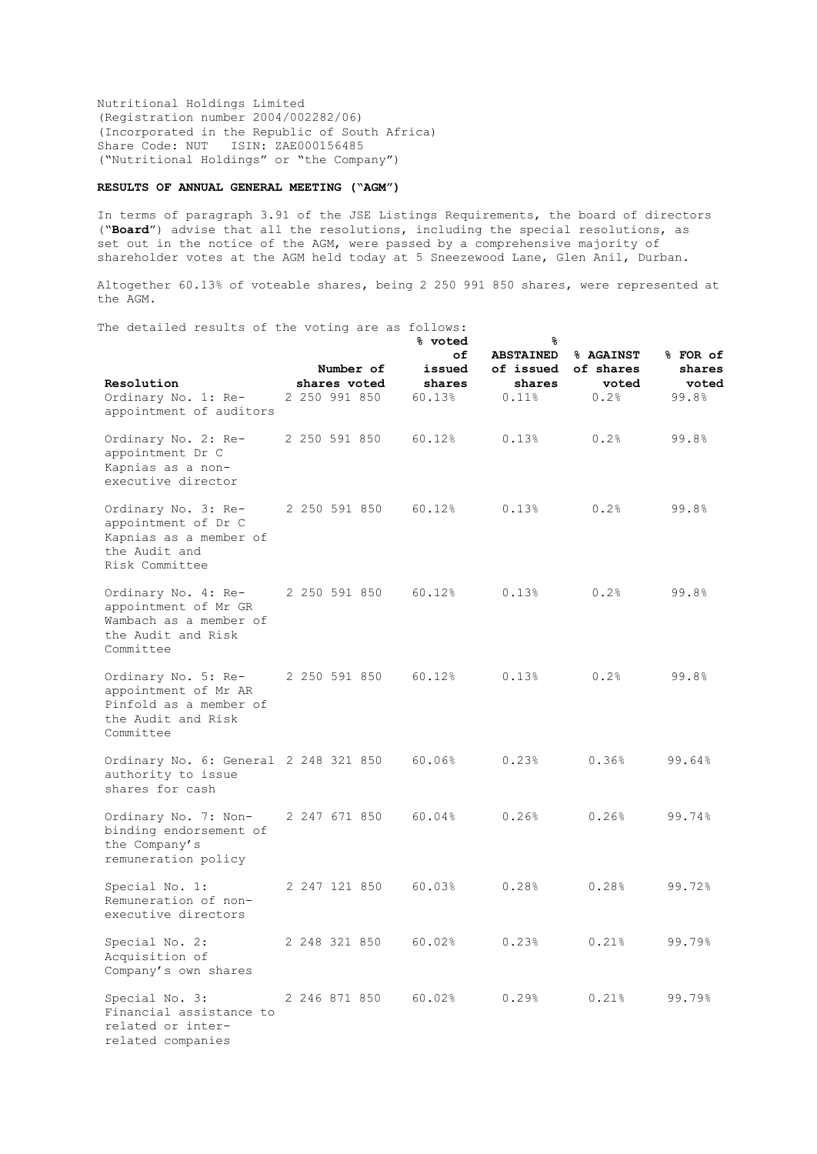Nutritional Holdings Limited (Registration number 2004/002282/06) (Incorporated in the Republic of South Africa) Share Code: NUT ISIN: ZAE000156485 ("Nutritional Holdings" or "the Company")

## **RESULTS OF ANNUAL GENERAL MEETING ("AGM")**

In terms of paragraph 3.91 of the JSE Listings Requirements, the board of directors ("**Board**") advise that all the resolutions, including the special resolutions, as set out in the notice of the AGM, were passed by a comprehensive majority of shareholder votes at the AGM held today at 5 Sneezewood Lane, Glen Anil, Durban.

Altogether 60.13% of voteable shares, being 2 250 991 850 shares, were represented at the AGM.

The detailed results of the voting are as follows:

|                                                                                                          |               |                           | % voted                          | ୫                                                |                                         |                                      |
|----------------------------------------------------------------------------------------------------------|---------------|---------------------------|----------------------------------|--------------------------------------------------|-----------------------------------------|--------------------------------------|
| Resolution<br>Ordinary No. 1: Re-<br>appointment of auditors                                             | 2 250 991 850 | Number of<br>shares voted | оf<br>issued<br>shares<br>60.13% | <b>ABSTAINED</b><br>of issued<br>shares<br>0.11% | % AGAINST<br>of shares<br>voted<br>0.2% | % FOR of<br>shares<br>voted<br>99.8% |
| Ordinary No. 2: Re-<br>appointment Dr C<br>Kapnias as a non-<br>executive director                       | 2 250 591 850 |                           | 60.12%                           | 0.13%                                            | 0.2%                                    | 99.8%                                |
| Ordinary No. 3: Re-<br>appointment of Dr C<br>Kapnias as a member of<br>the Audit and<br>Risk Committee  | 2 250 591 850 |                           | 60.12%                           | 0.13%                                            | 0.2%                                    | 99.8%                                |
| Ordinary No. 4: Re-<br>appointment of Mr GR<br>Wambach as a member of<br>the Audit and Risk<br>Committee | 2 250 591 850 |                           | 60.12%                           | 0.13%                                            | 0.2%                                    | 99.8%                                |
| Ordinary No. 5: Re-<br>appointment of Mr AR<br>Pinfold as a member of<br>the Audit and Risk<br>Committee | 2 250 591 850 |                           | 60.12%                           | 0.13%                                            | 0.2%                                    | 99.8%                                |
| Ordinary No. 6: General 2 248 321 850<br>authority to issue<br>shares for cash                           |               |                           | 60.06%                           | 0.23%                                            | 0.36%                                   | 99.64%                               |
| Ordinary No. 7: Non-<br>binding endorsement of<br>the Company's<br>remuneration policy                   | 2 247 671 850 |                           | 60.04%                           | 0.26%                                            | 0.26%                                   | 99.74%                               |
| Special No. 1:<br>Remuneration of non-<br>executive directors                                            | 2 247 121 850 |                           | 60.03%                           | 0.28%                                            | 0.28%                                   | 99.72%                               |
| Special No. 2:<br>Acquisition of<br>Company's own shares                                                 | 2 248 321 850 |                           | 60.02%                           | 0.23%                                            | 0.21%                                   | 99.79%                               |
| Special No. 3:<br>Financial assistance to<br>related or inter-<br>related companies                      | 2 246 871 850 |                           | 60.02%                           | 0.29%                                            | 0.21%                                   | 99.79%                               |